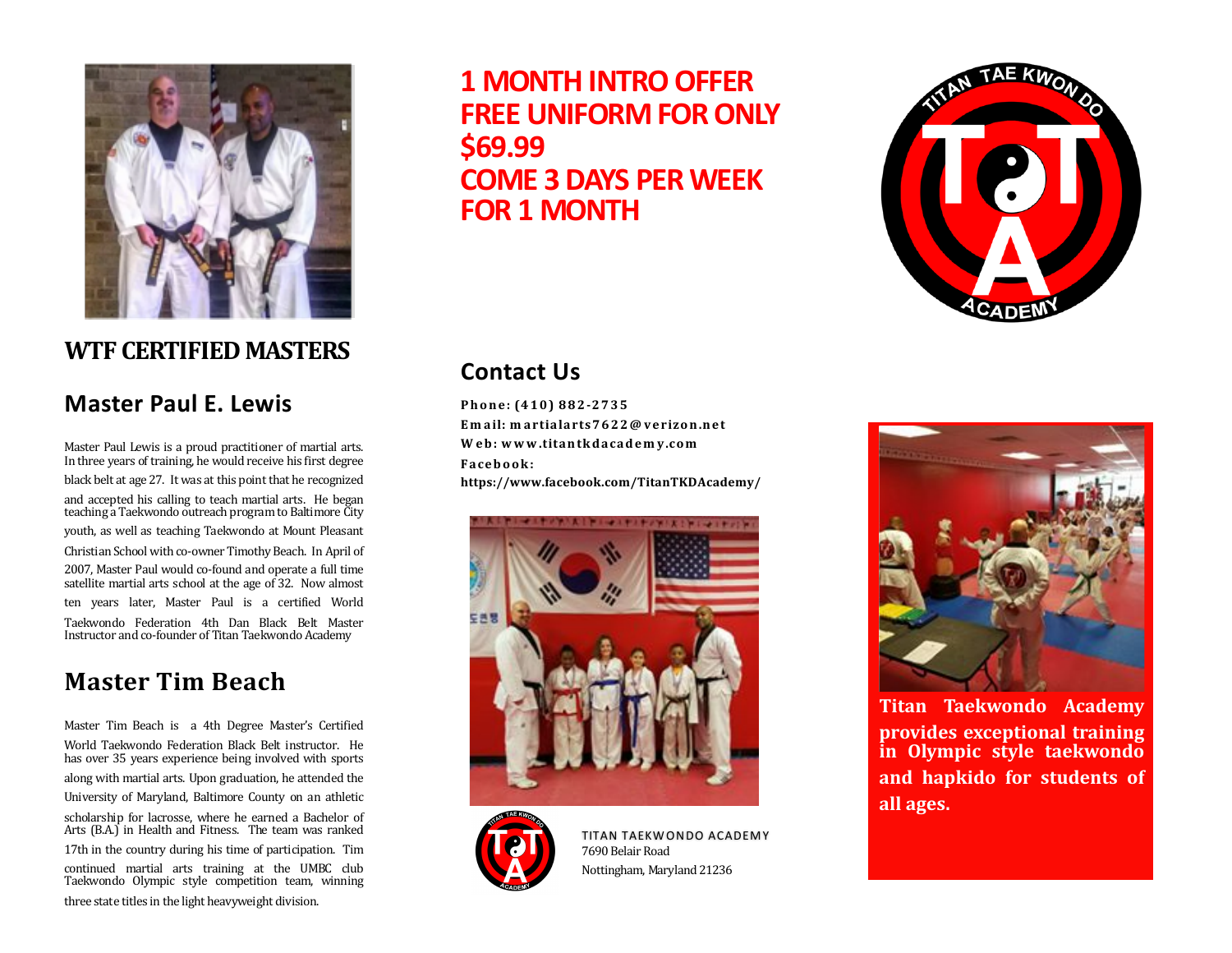

# **WTF CERTIFIED MASTERS**

#### **Master Paul E. Lewis**

Master Paul Lewis is a proud practitioner of martial arts. In three years of training, he would receive his first degree black belt at age 27. It was at this point that he recognized and accepted his calling to teach martial arts. He began teaching a Taekwondo outreach programto Baltimore City youth, as well as teaching Taekwondo at Mount Pleasant Christian School with co-owner Timothy Beach. In April of 2007, Master Paul would co-found and operate a full time satellite martial arts school at the age of 32. Now almost ten years later, Master Paul is a certified World Taekwondo Federation 4th Dan Black Belt Master Instructor and co-founder of Titan Taekwondo Academy

# **Master Tim Beach**

Master Tim Beach is a 4th Degree Master's Certified World Taekwondo Federation Black Belt instructor. He has over 35 years experience being involved with sports along with martial arts. Upon graduation, he attended the University of Maryland, Baltimore County on an athletic scholarship for lacrosse, where he earned a Bachelor of Arts (B.A.) in Health and Fitness. The team was ranked 17th in the country during his time of participation. Tim continued martial arts training at the UMBC club Taekwondo Olympic style competition team, winning three state titles in the light heavyweight division.

**1 MONTH INTRO OFFER FREE UNIFORM FOR ONLY \$69.99 COME 3 DAYS PER WEEK FOR 1 MONTH**



### **Contact Us**

**Phone: (410) 882-2735 Em ail: m artialarts7622@ verizon.net W eb: www .titan tkdacadem y.com Facebook: https://www.facebook.com/TitanTKDAcademy/**





TITAN TAEKWONDO ACADEMY 7690 Belair Road Nottingham, Maryland 21236



**Titan Taekwondo Academy provides exceptional training in Olympic style taekwondo and hapkido for students of all ages.**